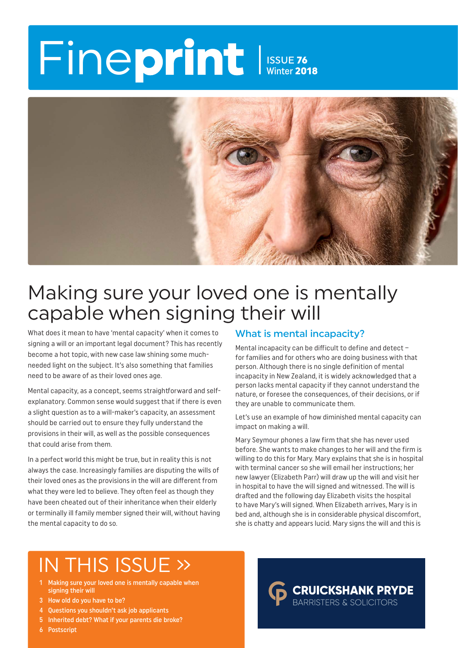# Fineprint ISSUE 76 Winter 2018



# Making sure your loved one is mentally capable when signing their will

What does it mean to have 'mental capacity' when it comes to signing a will or an important legal document? This has recently become a hot topic, with new case law shining some muchneeded light on the subject. It's also something that families need to be aware of as their loved ones age.

Mental capacity, as a concept, seems straightforward and selfexplanatory. Common sense would suggest that if there is even a slight question as to a will-maker's capacity, an assessment should be carried out to ensure they fully understand the provisions in their will, as well as the possible consequences that could arise from them.

In a perfect world this might be true, but in reality this is not always the case. Increasingly families are disputing the wills of their loved ones as the provisions in the will are different from what they were led to believe. They often feel as though they have been cheated out of their inheritance when their elderly or terminally ill family member signed their will, without having the mental capacity to do so.

### What is mental incapacity?

Mental incapacity can be difficult to define and detect – for families and for others who are doing business with that person. Although there is no single definition of mental incapacity in New Zealand, it is widely acknowledged that a person lacks mental capacity if they cannot understand the nature, or foresee the consequences, of their decisions, or if they are unable to communicate them.

Let's use an example of how diminished mental capacity can impact on making a will.

Mary Seymour phones a law firm that she has never used before. She wants to make changes to her will and the firm is willing to do this for Mary. Mary explains that she is in hospital with terminal cancer so she will email her instructions; her new lawyer (Elizabeth Parr) will draw up the will and visit her in hospital to have the will signed and witnessed. The will is drafted and the following day Elizabeth visits the hospital to have Mary's will signed. When Elizabeth arrives, Mary is in bed and, although she is in considerable physical discomfort, she is chatty and appears lucid. Mary signs the will and this is

> **CRUICKSHANK PRYDE BARRISTERS & SOLICITORS**

# IN THIS ISSUE »

- 1 Making sure your loved one is mentally capable when signing their will
- 3 How old do you have to be?
- 4 Questions you shouldn't ask job applicants
- 5 Inherited debt? What if your parents die broke?
- 6 Postscript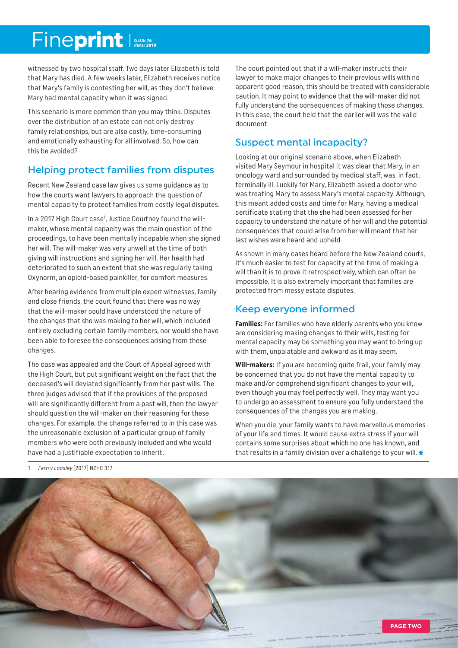# Fineprint

witnessed by two hospital staff. Two days later Elizabeth is told that Mary has died. A few weeks later, Elizabeth receives notice that Mary's family is contesting her will, as they don't believe Mary had mental capacity when it was signed.

This scenario is more common than you may think. Disputes over the distribution of an estate can not only destroy family relationships, but are also costly, time-consuming and emotionally exhausting for all involved. So, how can this be avoided?

# Helping protect families from disputes

Recent New Zealand case law gives us some guidance as to how the courts want lawyers to approach the question of mental capacity to protect families from costly legal disputes.

In a 2017 High Court case<sup>1</sup>, Justice Courtney found the willmaker, whose mental capacity was the main question of the proceedings, to have been mentally incapable when she signed her will. The will-maker was very unwell at the time of both giving will instructions and signing her will. Her health had deteriorated to such an extent that she was regularly taking Oxynorm, an opioid-based painkiller, for comfort measures.

After hearing evidence from multiple expert witnesses, family and close friends, the court found that there was no way that the will-maker could have understood the nature of the changes that she was making to her will, which included entirely excluding certain family members, nor would she have been able to foresee the consequences arising from these changes.

The case was appealed and the Court of Appeal agreed with the High Court, but put significant weight on the fact that the deceased's will deviated significantly from her past wills. The three judges advised that if the provisions of the proposed will are significantly different from a past will, then the lawyer should question the will-maker on their reasoning for these changes. For example, the change referred to in this case was the unreasonable exclusion of a particular group of family members who were both previously included and who would have had a justifiable expectation to inherit.

The court pointed out that if a will-maker instructs their lawyer to make major changes to their previous wills with no apparent good reason, this should be treated with considerable caution. It may point to evidence that the will-maker did not fully understand the consequences of making those changes. In this case, the court held that the earlier will was the valid document.

### Suspect mental incapacity?

Looking at our original scenario above, when Elizabeth visited Mary Seymour in hospital it was clear that Mary, in an oncology ward and surrounded by medical staff, was, in fact, terminally ill. Luckily for Mary, Elizabeth asked a doctor who was treating Mary to assess Mary's mental capacity. Although, this meant added costs and time for Mary, having a medical certificate stating that the she had been assessed for her capacity to understand the nature of her will and the potential consequences that could arise from her will meant that her last wishes were heard and upheld.

As shown in many cases heard before the New Zealand courts, it's much easier to test for capacity at the time of making a will than it is to prove it retrospectively, which can often be impossible. It is also extremely important that families are protected from messy estate disputes.

# Keep everyone informed

**Families:** For families who have elderly parents who you know are considering making changes to their wills, testing for mental capacity may be something you may want to bring up with them, unpalatable and awkward as it may seem.

**Will-makers:** If you are becoming quite frail, your family may be concerned that you do not have the mental capacity to make and/or comprehend significant changes to your will, even though you may feel perfectly well. They may want you to undergo an assessment to ensure you fully understand the consequences of the changes you are making.

When you die, your family wants to have marvellous memories of your life and times. It would cause extra stress if your will contains some surprises about which no one has known, and that results in a family division over a challenge to your will.



1 Farn v Loosley [2017] NZHC 317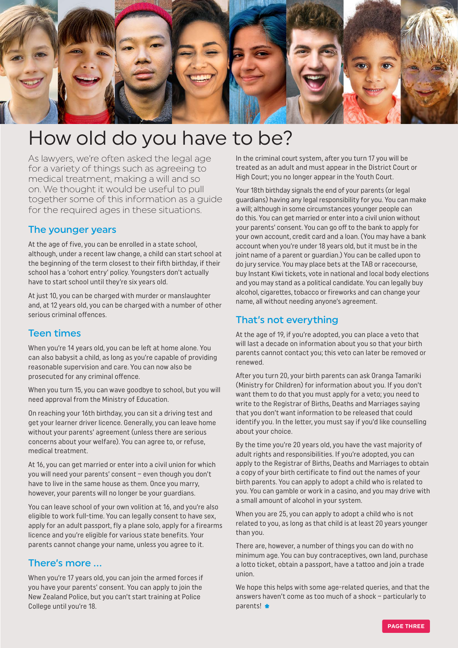

# How old do you have to be?

As lawyers, we're often asked the legal age for a variety of things such as agreeing to medical treatment, making a will and so on. We thought it would be useful to pull together some of this information as a guide for the required ages in these situations.

#### The younger years

At the age of five, you can be enrolled in a state school, although, under a recent law change, a child can start school at the beginning of the term closest to their fifth birthday, if their school has a 'cohort entry' policy. Youngsters don't actually have to start school until they're six years old.

At just 10, you can be charged with murder or manslaughter and, at 12 years old, you can be charged with a number of other serious criminal offences.

#### Teen times

When you're 14 years old, you can be left at home alone. You can also babysit a child, as long as you're capable of providing reasonable supervision and care. You can now also be prosecuted for any criminal offence.

When you turn 15, you can wave goodbye to school, but you will need approval from the Ministry of Education.

On reaching your 16th birthday, you can sit a driving test and get your learner driver licence. Generally, you can leave home without your parents' agreement (unless there are serious concerns about your welfare). You can agree to, or refuse, medical treatment.

At 16, you can get married or enter into a civil union for which you will need your parents' consent – even though you don't have to live in the same house as them. Once you marry, however, your parents will no longer be your guardians.

You can leave school of your own volition at 16, and you're also eligible to work full-time. You can legally consent to have sex, apply for an adult passport, fly a plane solo, apply for a firearms licence and you're eligible for various state benefits. Your parents cannot change your name, unless you agree to it.

#### There's more …

When you're 17 years old, you can join the armed forces if you have your parents' consent. You can apply to join the New Zealand Police, but you can't start training at Police College until you're 18.

In the criminal court system, after you turn 17 you will be treated as an adult and must appear in the District Court or High Court; you no longer appear in the Youth Court.

Your 18th birthday signals the end of your parents (or legal guardians) having any legal responsibility for you. You can make a will; although in some circumstances younger people can do this. You can get married or enter into a civil union without your parents' consent. You can go off to the bank to apply for your own account, credit card and a loan. (You may have a bank account when you're under 18 years old, but it must be in the joint name of a parent or guardian.) You can be called upon to do jury service. You may place bets at the TAB or racecourse, buy Instant Kiwi tickets, vote in national and local body elections and you may stand as a political candidate. You can legally buy alcohol, cigarettes, tobacco or fireworks and can change your name, all without needing anyone's agreement.

#### That's not everything

At the age of 19, if you're adopted, you can place a veto that will last a decade on information about you so that your birth parents cannot contact you; this veto can later be removed or renewed.

After you turn 20, your birth parents can ask Oranga Tamariki (Ministry for Children) for information about you. If you don't want them to do that you must apply for a veto; you need to write to the Registrar of Births, Deaths and Marriages saying that you don't want information to be released that could identify you. In the letter, you must say if you'd like counselling about your choice.

By the time you're 20 years old, you have the vast majority of adult rights and responsibilities. If you're adopted, you can apply to the Registrar of Births, Deaths and Marriages to obtain a copy of your birth certificate to find out the names of your birth parents. You can apply to adopt a child who is related to you. You can gamble or work in a casino, and you may drive with a small amount of alcohol in your system.

When you are 25, you can apply to adopt a child who is not related to you, as long as that child is at least 20 years younger than you.

There are, however, a number of things you can do with no minimum age. You can buy contraceptives, own land, purchase a lotto ticket, obtain a passport, have a tattoo and join a trade union.

We hope this helps with some age-related queries, and that the answers haven't come as too much of a shock – particularly to parents! \*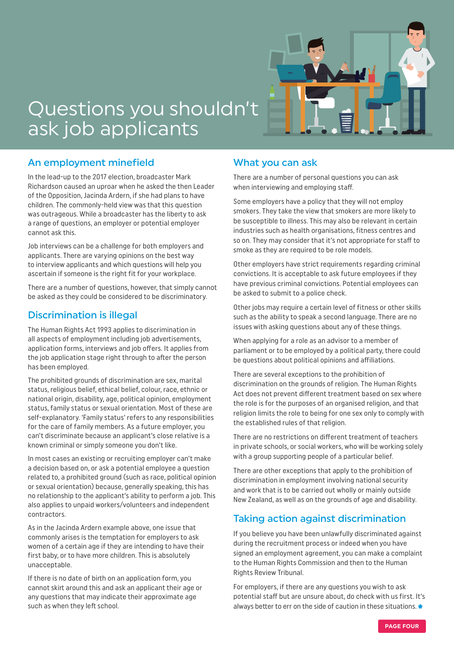

# Questions you shouldn't ask job applicants

### An employment minefield

In the lead-up to the 2017 election, broadcaster Mark Richardson caused an uproar when he asked the then Leader of the Opposition, Jacinda Ardern, if she had plans to have children. The commonly-held view was that this question was outrageous. While a broadcaster has the liberty to ask a range of questions, an employer or potential employer cannot ask this.

Job interviews can be a challenge for both employers and applicants. There are varying opinions on the best way to interview applicants and which questions will help you ascertain if someone is the right fit for your workplace.

There are a number of questions, however, that simply cannot be asked as they could be considered to be discriminatory.

### Discrimination is illegal

The Human Rights Act 1993 applies to discrimination in all aspects of employment including job advertisements, application forms, interviews and job offers. It applies from the job application stage right through to after the person has been employed.

The prohibited grounds of discrimination are sex, marital status, religious belief, ethical belief, colour, race, ethnic or national origin, disability, age, political opinion, employment status, family status or sexual orientation. Most of these are self-explanatory. 'Family status' refers to any responsibilities for the care of family members. As a future employer, you can't discriminate because an applicant's close relative is a known criminal or simply someone you don't like.

In most cases an existing or recruiting employer can't make a decision based on, or ask a potential employee a question related to, a prohibited ground (such as race, political opinion or sexual orientation) because, generally speaking, this has no relationship to the applicant's ability to perform a job. This also applies to unpaid workers/volunteers and independent contractors.

As in the Jacinda Ardern example above, one issue that commonly arises is the temptation for employers to ask women of a certain age if they are intending to have their first baby, or to have more children. This is absolutely unacceptable.

If there is no date of birth on an application form, you cannot skirt around this and ask an applicant their age or any questions that may indicate their approximate age such as when they left school.

### What you can ask

There are a number of personal questions you can ask when interviewing and employing staff.

Some employers have a policy that they will not employ smokers. They take the view that smokers are more likely to be susceptible to illness. This may also be relevant in certain industries such as health organisations, fitness centres and so on. They may consider that it's not appropriate for staff to smoke as they are required to be role models.

Other employers have strict requirements regarding criminal convictions. It is acceptable to ask future employees if they have previous criminal convictions. Potential employees can be asked to submit to a police check.

Other jobs may require a certain level of fitness or other skills such as the ability to speak a second language. There are no issues with asking questions about any of these things.

When applying for a role as an advisor to a member of parliament or to be employed by a political party, there could be questions about political opinions and affiliations.

There are several exceptions to the prohibition of discrimination on the grounds of religion. The Human Rights Act does not prevent different treatment based on sex where the role is for the purposes of an organised religion, and that religion limits the role to being for one sex only to comply with the established rules of that religion.

There are no restrictions on different treatment of teachers in private schools, or social workers, who will be working solely with a group supporting people of a particular belief.

There are other exceptions that apply to the prohibition of discrimination in employment involving national security and work that is to be carried out wholly or mainly outside New Zealand, as well as on the grounds of age and disability.

# Taking action against discrimination

If you believe you have been unlawfully discriminated against during the recruitment process or indeed when you have signed an employment agreement, you can make a complaint to the Human Rights Commission and then to the Human Rights Review Tribunal.

For employers, if there are any questions you wish to ask potential staff but are unsure about, do check with us first. It's always better to err on the side of caution in these situations.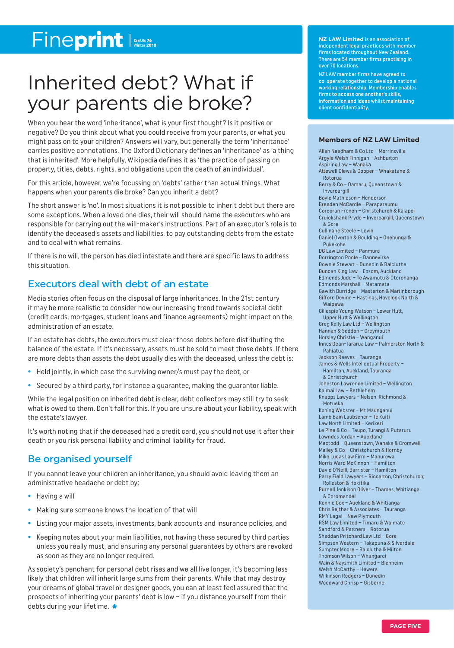# Fineprint

# Inherited debt? What if your parents die broke?

When you hear the word 'inheritance', what is your first thought? Is it positive or negative? Do you think about what you could receive from your parents, or what you might pass on to your children? Answers will vary, but generally the term 'inheritance' carries positive connotations. The Oxford Dictionary defines an 'inheritance' as 'a thing that is inherited'. More helpfully, Wikipedia defines it as 'the practice of passing on property, titles, debts, rights, and obligations upon the death of an individual'.

For this article, however, we're focussing on 'debts' rather than actual things. What happens when your parents die broke? Can you inherit a debt?

The short answer is 'no'. In most situations it is not possible to inherit debt but there are some exceptions. When a loved one dies, their will should name the executors who are responsible for carrying out the will-maker's instructions. Part of an executor's role is to identify the deceased's assets and liabilities, to pay outstanding debts from the estate and to deal with what remains.

If there is no will, the person has died intestate and there are specific laws to address this situation.

### Executors deal with debt of an estate

Media stories often focus on the disposal of large inheritances. In the 21st century it may be more realistic to consider how our increasing trend towards societal debt (credit cards, mortgages, student loans and finance agreements) might impact on the administration of an estate.

If an estate has debts, the executors must clear those debts before distributing the balance of the estate. If it's necessary, assets must be sold to meet those debts. If there are more debts than assets the debt usually dies with the deceased, unless the debt is:

- **•** Held jointly, in which case the surviving owner/s must pay the debt, or
- **•** Secured by a third party, for instance a guarantee, making the guarantor liable.

While the legal position on inherited debt is clear, debt collectors may still try to seek what is owed to them. Don't fall for this. If you are unsure about your liability, speak with the estate's lawyer.

It's worth noting that if the deceased had a credit card, you should not use it after their death or you risk personal liability and criminal liability for fraud.

### Be organised yourself

If you cannot leave your children an inheritance, you should avoid leaving them an administrative headache or debt by:

- **•** Having a will
- **•** Making sure someone knows the location of that will
- **•** Listing your major assets, investments, bank accounts and insurance policies, and
- **•** Keeping notes about your main liabilities, not having these secured by third parties unless you really must, and ensuring any personal guarantees by others are revoked as soon as they are no longer required.

As society's penchant for personal debt rises and we all live longer, it's becoming less likely that children will inherit large sums from their parents. While that may destroy your dreams of global travel or designer goods, you can at least feel assured that the prospects of inheriting your parents' debt is low – if you distance yourself from their debts during your lifetime.

**NZ LAW Limited** is an association of independent legal practices with member firms located throughout New Zealand. There are 54 member firms practising in over 70 locations.

NZ LAW member firms have agreed to co-operate together to develop a national working relationship. Membership enables firms to access one another's skills, information and ideas whilst maintaining client confidentiality.

#### **Members of NZ LAW Limited**

Allen Needham & Co Ltd – Morrinsville Argyle Welsh Finnigan – Ashburton Aspiring Law – Wanaka Attewell Clews & Cooper – Whakatane & Rotorua Berry & Co – Oamaru, Queenstown & Invercargill Boyle Mathieson – Henderson Breaden McCardle – Paraparaumu Corcoran French – Christchurch & Kaiapoi Cruickshank Pryde – Invercargill, Queenstown & Gore Cullinane Steele – Levin Daniel Overton & Goulding – Onehunga & Pukekohe DG Law Limited – Panmure Dorrington Poole – Dannevirke Downie Stewart – Dunedin & Balclutha Duncan King Law – Epsom, Aucklan d Edmonds Judd – Te Awamutu & Otorohanga Edmonds Marshall – Matamata Gawith Burridge – Masterton & Martinborough Gifford Devine – Hastings, Havelock North & Waipawa Gillespie Young Watson – Lower Hutt, Upper Hutt & Wellington Greg Kelly Law Ltd – Wellington Hannan & Seddon – Greymouth Horsley Christie – Wanganui Innes Dean-Tararua Law – Palmerston North & Pahiatua Jackson Reeves – Tauranga James & Wells Intellectual Property – Hamilton, Auckland, Tauranga & Christchurch Johnston Lawrence Limited – Wellington Kaimai Law – Bethlehem Knapps Lawyers – Nelson, Richmond & Motueka Koning Webster – Mt Maunganui Lamb Bain Laubscher – Te Kuiti Law North Limited – Kerikeri Le Pine & Co – Taupo, Turangi & Putaruru Lowndes Jordan – Auckland Mactodd – Queenstown, Wanaka & Cromwell Malley & Co – Christchurch & Hornby Mike Lucas Law Firm – Manurewa Norris Ward McKinnon – Hamilton David O'Neill, Barrister – Hamilton Parry Field Lawyers – Riccarton, Christchurch; Rolleston & Hokitika Purnell Jenkison Oliver – Thames, Whitianga & Coromandel Rennie Cox – Auckland & Whitianga Chris Rejthar & Associates – Tauranga RMY Legal – New Plymouth RSM Law Limited – Timaru & Waimate Sandford & Partners – Rotorua Sheddan Pritchard Law Ltd – Gore Simpson Western – Takapuna & Silverdale Sumpter Moore – Balclutha & Milton Thomson Wilson – Whangarei Wain & Naysmith Limited – Blenheim Welsh McCarthy – Hawera Wilkinson Rodgers – Dunedin Woodward Chrisp – Gisborne